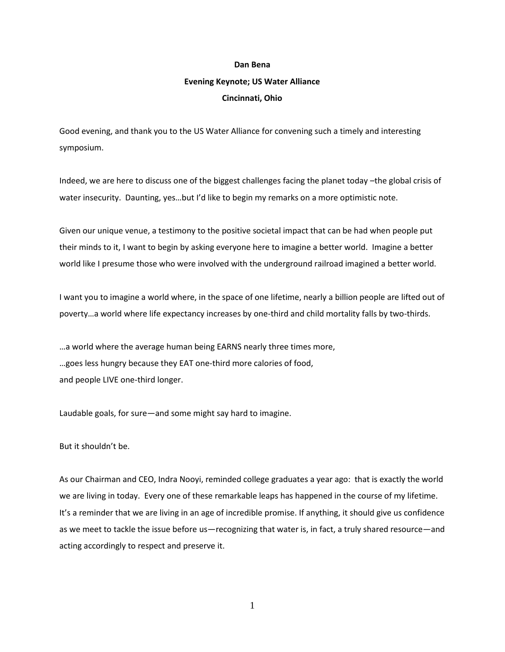## **Dan Bena**

## **Evening Keynote; US Water Alliance**

## **Cincinnati, Ohio**

Good evening, and thank you to the US Water Alliance for convening such a timely and interesting symposium.

Indeed, we are here to discuss one of the biggest challenges facing the planet today –the global crisis of water insecurity. Daunting, yes…but I'd like to begin my remarks on a more optimistic note.

Given our unique venue, a testimony to the positive societal impact that can be had when people put their minds to it, I want to begin by asking everyone here to imagine a better world. Imagine a better world like I presume those who were involved with the underground railroad imagined a better world.

I want you to imagine a world where, in the space of one lifetime, nearly a billion people are lifted out of poverty…a world where life expectancy increases by one-third and child mortality falls by two-thirds.

…a world where the average human being EARNS nearly three times more, …goes less hungry because they EAT one-third more calories of food, and people LIVE one-third longer.

Laudable goals, for sure—and some might say hard to imagine.

But it shouldn't be.

As our Chairman and CEO, Indra Nooyi, reminded college graduates a year ago: that is exactly the world we are living in today. Every one of these remarkable leaps has happened in the course of my lifetime. It's a reminder that we are living in an age of incredible promise. If anything, it should give us confidence as we meet to tackle the issue before us—recognizing that water is, in fact, a truly shared resource—and acting accordingly to respect and preserve it.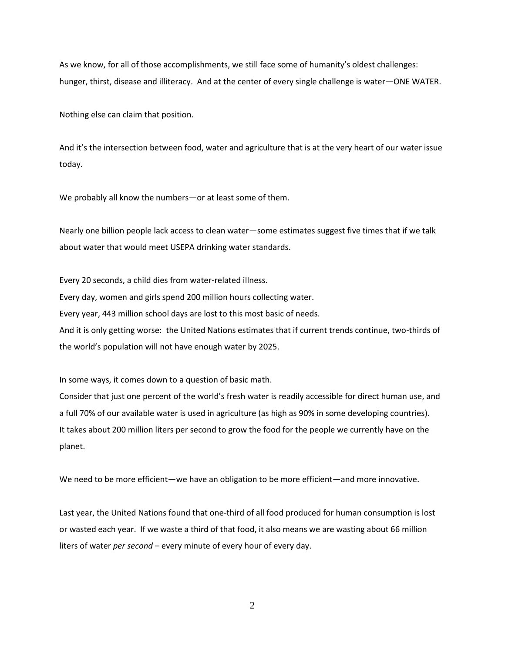As we know, for all of those accomplishments, we still face some of humanity's oldest challenges: hunger, thirst, disease and illiteracy. And at the center of every single challenge is water—ONE WATER.

Nothing else can claim that position.

And it's the intersection between food, water and agriculture that is at the very heart of our water issue today.

We probably all know the numbers—or at least some of them.

Nearly one billion people lack access to clean water—some estimates suggest five times that if we talk about water that would meet USEPA drinking water standards.

Every 20 seconds, a child dies from water-related illness. Every day, women and girls spend 200 million hours collecting water. Every year, 443 million school days are lost to this most basic of needs. And it is only getting worse: the United Nations estimates that if current trends continue, two-thirds of the world's population will not have enough water by 2025.

In some ways, it comes down to a question of basic math.

Consider that just one percent of the world's fresh water is readily accessible for direct human use, and a full 70% of our available water is used in agriculture (as high as 90% in some developing countries). It takes about 200 million liters per second to grow the food for the people we currently have on the planet.

We need to be more efficient—we have an obligation to be more efficient—and more innovative.

Last year, the United Nations found that one-third of all food produced for human consumption is lost or wasted each year. If we waste a third of that food, it also means we are wasting about 66 million liters of water *per second* – every minute of every hour of every day.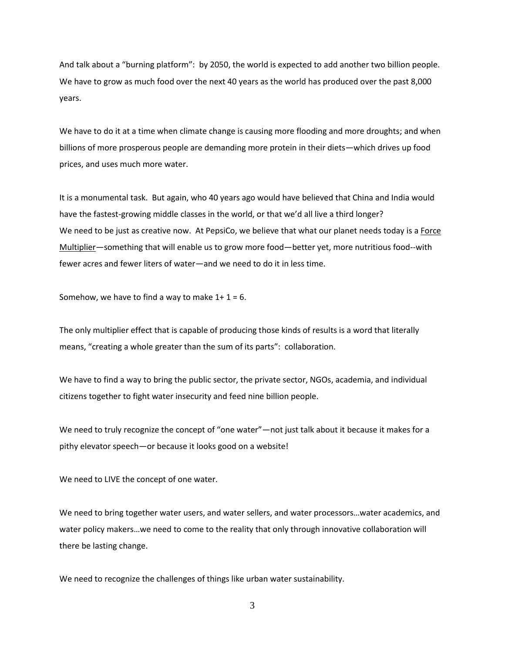And talk about a "burning platform": by 2050, the world is expected to add another two billion people. We have to grow as much food over the next 40 years as the world has produced over the past 8,000 years.

We have to do it at a time when climate change is causing more flooding and more droughts; and when billions of more prosperous people are demanding more protein in their diets—which drives up food prices, and uses much more water.

It is a monumental task. But again, who 40 years ago would have believed that China and India would have the fastest-growing middle classes in the world, or that we'd all live a third longer? We need to be just as creative now. At PepsiCo, we believe that what our planet needs today is a Force Multiplier—something that will enable us to grow more food—better yet, more nutritious food--with fewer acres and fewer liters of water—and we need to do it in less time.

Somehow, we have to find a way to make  $1+1=6$ .

The only multiplier effect that is capable of producing those kinds of results is a word that literally means, "creating a whole greater than the sum of its parts": collaboration.

We have to find a way to bring the public sector, the private sector, NGOs, academia, and individual citizens together to fight water insecurity and feed nine billion people.

We need to truly recognize the concept of "one water"—not just talk about it because it makes for a pithy elevator speech—or because it looks good on a website!

We need to LIVE the concept of one water.

We need to bring together water users, and water sellers, and water processors…water academics, and water policy makers…we need to come to the reality that only through innovative collaboration will there be lasting change.

We need to recognize the challenges of things like urban water sustainability.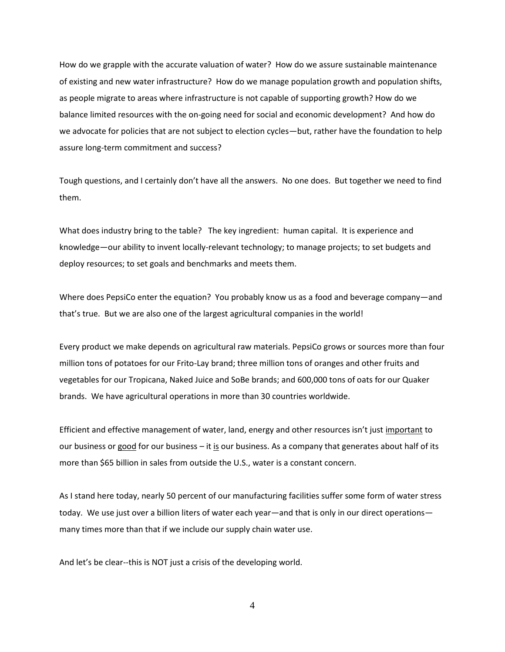How do we grapple with the accurate valuation of water? How do we assure sustainable maintenance of existing and new water infrastructure? How do we manage population growth and population shifts, as people migrate to areas where infrastructure is not capable of supporting growth? How do we balance limited resources with the on-going need for social and economic development? And how do we advocate for policies that are not subject to election cycles—but, rather have the foundation to help assure long-term commitment and success?

Tough questions, and I certainly don't have all the answers. No one does. But together we need to find them.

What does industry bring to the table? The key ingredient: human capital. It is experience and knowledge—our ability to invent locally-relevant technology; to manage projects; to set budgets and deploy resources; to set goals and benchmarks and meets them.

Where does PepsiCo enter the equation? You probably know us as a food and beverage company—and that's true. But we are also one of the largest agricultural companies in the world!

Every product we make depends on agricultural raw materials. PepsiCo grows or sources more than four million tons of potatoes for our Frito-Lay brand; three million tons of oranges and other fruits and vegetables for our Tropicana, Naked Juice and SoBe brands; and 600,000 tons of oats for our Quaker brands. We have agricultural operations in more than 30 countries worldwide.

Efficient and effective management of water, land, energy and other resources isn't just important to our business or good for our business – it is our business. As a company that generates about half of its more than \$65 billion in sales from outside the U.S., water is a constant concern.

As I stand here today, nearly 50 percent of our manufacturing facilities suffer some form of water stress today. We use just over a billion liters of water each year—and that is only in our direct operations many times more than that if we include our supply chain water use.

And let's be clear--this is NOT just a crisis of the developing world.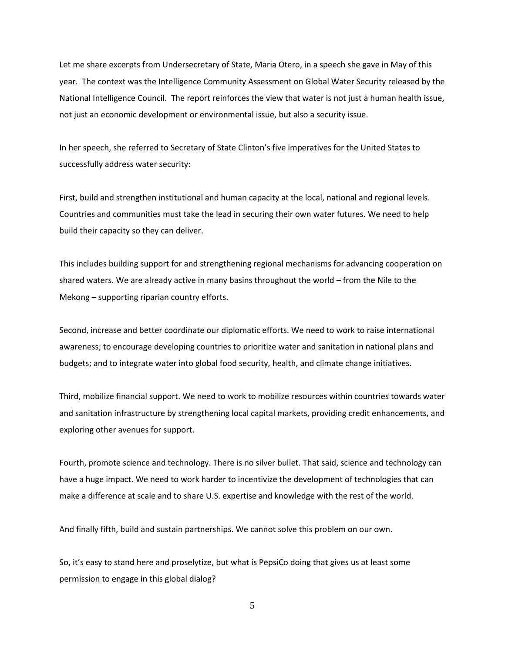Let me share excerpts from Undersecretary of State, Maria Otero, in a speech she gave in May of this year. The context was the Intelligence Community Assessment on Global Water Security released by the National Intelligence Council. The report reinforces the view that water is not just a human health issue, not just an economic development or environmental issue, but also a security issue.

In her speech, she referred to Secretary of State Clinton's five imperatives for the United States to successfully address water security:

First, build and strengthen institutional and human capacity at the local, national and regional levels. Countries and communities must take the lead in securing their own water futures. We need to help build their capacity so they can deliver.

This includes building support for and strengthening regional mechanisms for advancing cooperation on shared waters. We are already active in many basins throughout the world – from the Nile to the Mekong – supporting riparian country efforts.

Second, increase and better coordinate our diplomatic efforts. We need to work to raise international awareness; to encourage developing countries to prioritize water and sanitation in national plans and budgets; and to integrate water into global food security, health, and climate change initiatives.

Third, mobilize financial support. We need to work to mobilize resources within countries towards water and sanitation infrastructure by strengthening local capital markets, providing credit enhancements, and exploring other avenues for support.

Fourth, promote science and technology. There is no silver bullet. That said, science and technology can have a huge impact. We need to work harder to incentivize the development of technologies that can make a difference at scale and to share U.S. expertise and knowledge with the rest of the world.

And finally fifth, build and sustain partnerships. We cannot solve this problem on our own.

So, it's easy to stand here and proselytize, but what is PepsiCo doing that gives us at least some permission to engage in this global dialog?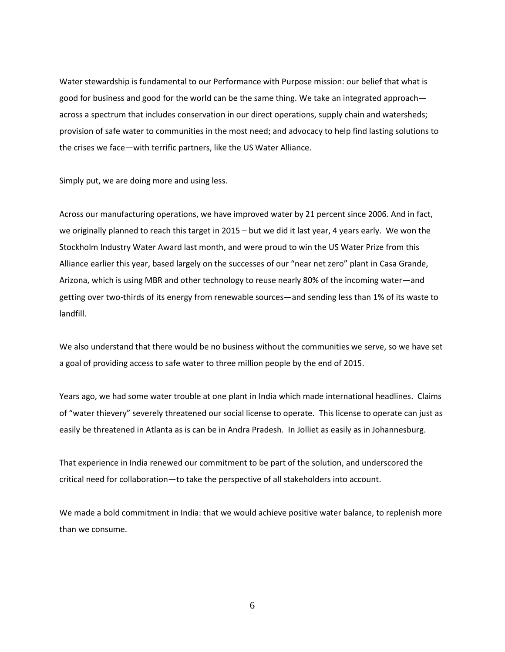Water stewardship is fundamental to our Performance with Purpose mission: our belief that what is good for business and good for the world can be the same thing. We take an integrated approach across a spectrum that includes conservation in our direct operations, supply chain and watersheds; provision of safe water to communities in the most need; and advocacy to help find lasting solutions to the crises we face—with terrific partners, like the US Water Alliance.

Simply put, we are doing more and using less.

Across our manufacturing operations, we have improved water by 21 percent since 2006. And in fact, we originally planned to reach this target in 2015 – but we did it last year, 4 years early. We won the Stockholm Industry Water Award last month, and were proud to win the US Water Prize from this Alliance earlier this year, based largely on the successes of our "near net zero" plant in Casa Grande, Arizona, which is using MBR and other technology to reuse nearly 80% of the incoming water—and getting over two-thirds of its energy from renewable sources—and sending less than 1% of its waste to landfill.

We also understand that there would be no business without the communities we serve, so we have set a goal of providing access to safe water to three million people by the end of 2015.

Years ago, we had some water trouble at one plant in India which made international headlines. Claims of "water thievery" severely threatened our social license to operate. This license to operate can just as easily be threatened in Atlanta as is can be in Andra Pradesh. In Jolliet as easily as in Johannesburg.

That experience in India renewed our commitment to be part of the solution, and underscored the critical need for collaboration—to take the perspective of all stakeholders into account.

We made a bold commitment in India: that we would achieve positive water balance, to replenish more than we consume.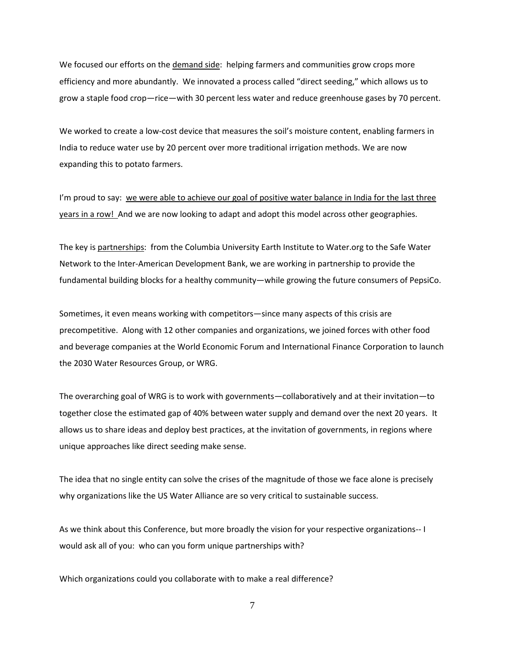We focused our efforts on the demand side: helping farmers and communities grow crops more efficiency and more abundantly. We innovated a process called "direct seeding," which allows us to grow a staple food crop—rice—with 30 percent less water and reduce greenhouse gases by 70 percent.

We worked to create a low-cost device that measures the soil's moisture content, enabling farmers in India to reduce water use by 20 percent over more traditional irrigation methods. We are now expanding this to potato farmers.

I'm proud to say: we were able to achieve our goal of positive water balance in India for the last three years in a row! And we are now looking to adapt and adopt this model across other geographies.

The key is partnerships: from the Columbia University Earth Institute to Water.org to the Safe Water Network to the Inter-American Development Bank, we are working in partnership to provide the fundamental building blocks for a healthy community—while growing the future consumers of PepsiCo.

Sometimes, it even means working with competitors—since many aspects of this crisis are precompetitive. Along with 12 other companies and organizations, we joined forces with other food and beverage companies at the World Economic Forum and International Finance Corporation to launch the 2030 Water Resources Group, or WRG.

The overarching goal of WRG is to work with governments—collaboratively and at their invitation—to together close the estimated gap of 40% between water supply and demand over the next 20 years. It allows us to share ideas and deploy best practices, at the invitation of governments, in regions where unique approaches like direct seeding make sense.

The idea that no single entity can solve the crises of the magnitude of those we face alone is precisely why organizations like the US Water Alliance are so very critical to sustainable success.

As we think about this Conference, but more broadly the vision for your respective organizations-- I would ask all of you: who can you form unique partnerships with?

Which organizations could you collaborate with to make a real difference?